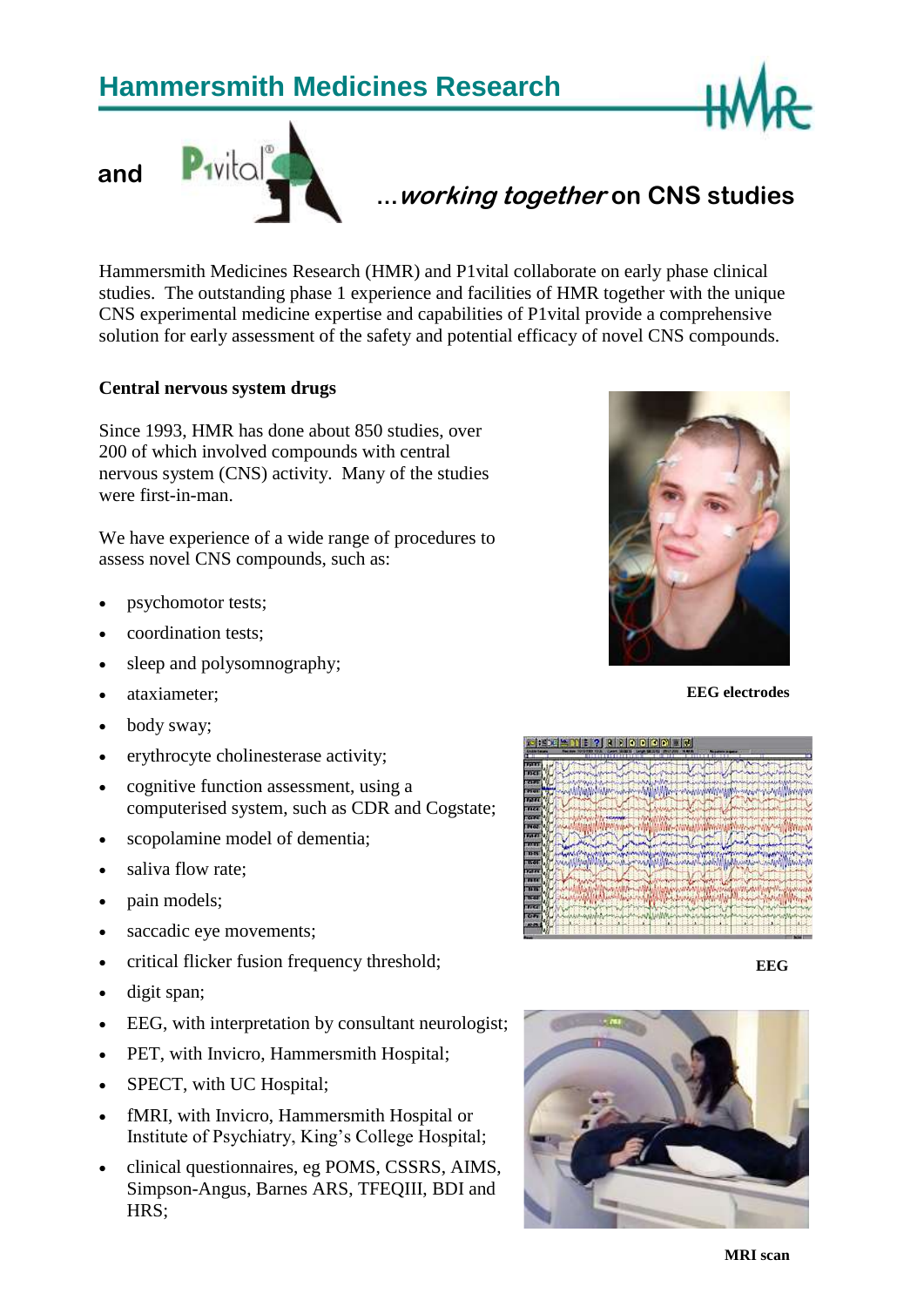# **Hammersmith Medicines Research**





## **…working together on CNS studies**

Hammersmith Medicines Research (HMR) and P1vital collaborate on early phase clinical studies. The outstanding phase 1 experience and facilities of HMR together with the unique CNS experimental medicine expertise and capabilities of P1vital provide a comprehensive solution for early assessment of the safety and potential efficacy of novel CNS compounds.

#### **Central nervous system drugs**

Since 1993, HMR has done about 850 studies, over 200 of which involved compounds with central nervous system (CNS) activity. Many of the studies were first-in-man.

We have experience of a wide range of procedures to assess novel CNS compounds, such as:

- psychomotor tests;
- coordination tests;
- sleep and polysomnography;
- ataxiameter;
- body sway;
- erythrocyte cholinesterase activity;
- cognitive function assessment, using a computerised system, such as CDR and Cogstate;
- scopolamine model of dementia;
- saliva flow rate;
- pain models;
- saccadic eye movements;
- critical flicker fusion frequency threshold;
- digit span;
- EEG, with interpretation by consultant neurologist;
- PET, with Invicro, Hammersmith Hospital;
- SPECT, with UC Hospital;
- fMRI, with Invicro, Hammersmith Hospital or Institute of Psychiatry, King's College Hospital;
- clinical questionnaires, eg POMS, CSSRS, AIMS, Simpson-Angus, Barnes ARS, TFEQIII, BDI and HRS;



**EEG electrodes**



 **EEG**

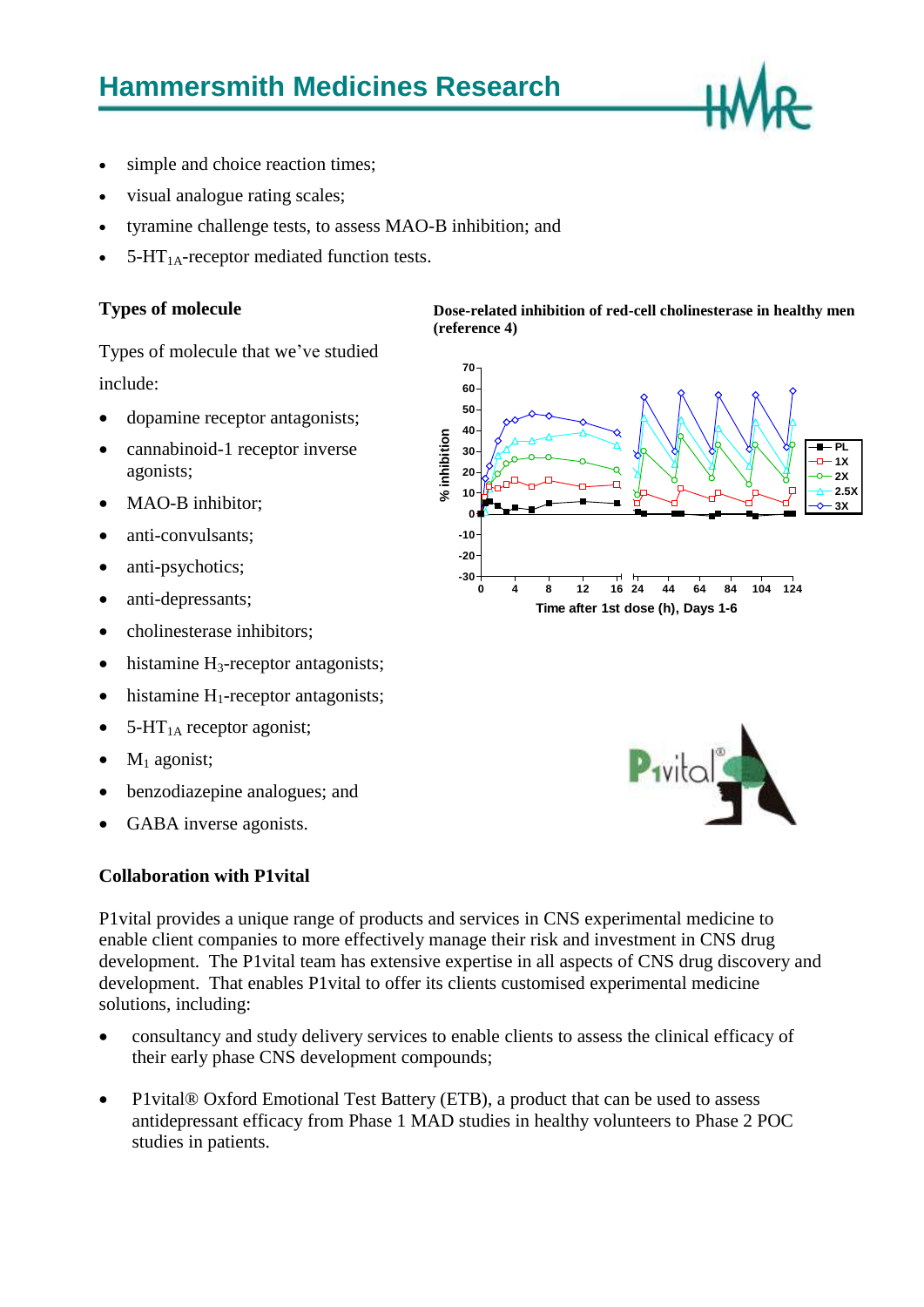

- simple and choice reaction times;
- visual analogue rating scales;
- tyramine challenge tests, to assess MAO-B inhibition; and
- $5-HT<sub>1A</sub>$ -receptor mediated function tests.

#### **Types of molecule**

Types of molecule that we've studied include:

- dopamine receptor antagonists;
- cannabinoid-1 receptor inverse agonists;
- MAO-B inhibitor;
- anti-convulsants;
- anti-psychotics;
- anti-depressants;
- cholinesterase inhibitors;
- histamine  $H_3$ -receptor antagonists;
- $\bullet$  histamine H<sub>1</sub>-receptor antagonists;
- $5-HT<sub>1A</sub>$  receptor agonist;
- $M_1$  agonist;
- benzodiazepine analogues; and
- GABA inverse agonists.

### **Collaboration with P1vital**

P1vital provides a unique range of products and services in CNS experimental medicine to enable client companies to more effectively manage their risk and investment in CNS drug development. The P1vital team has extensive expertise in all aspects of CNS drug discovery and development. That enables P1vital to offer its clients customised experimental medicine solutions, including:

**(reference 4)**

- consultancy and study delivery services to enable clients to assess the clinical efficacy of their early phase CNS development compounds;
- P1 vital® Oxford Emotional Test Battery (ETB), a product that can be used to assess antidepressant efficacy from Phase 1 MAD studies in healthy volunteers to Phase 2 POC studies in patients.



**Dose-related inhibition of red-cell cholinesterase in healthy men** 

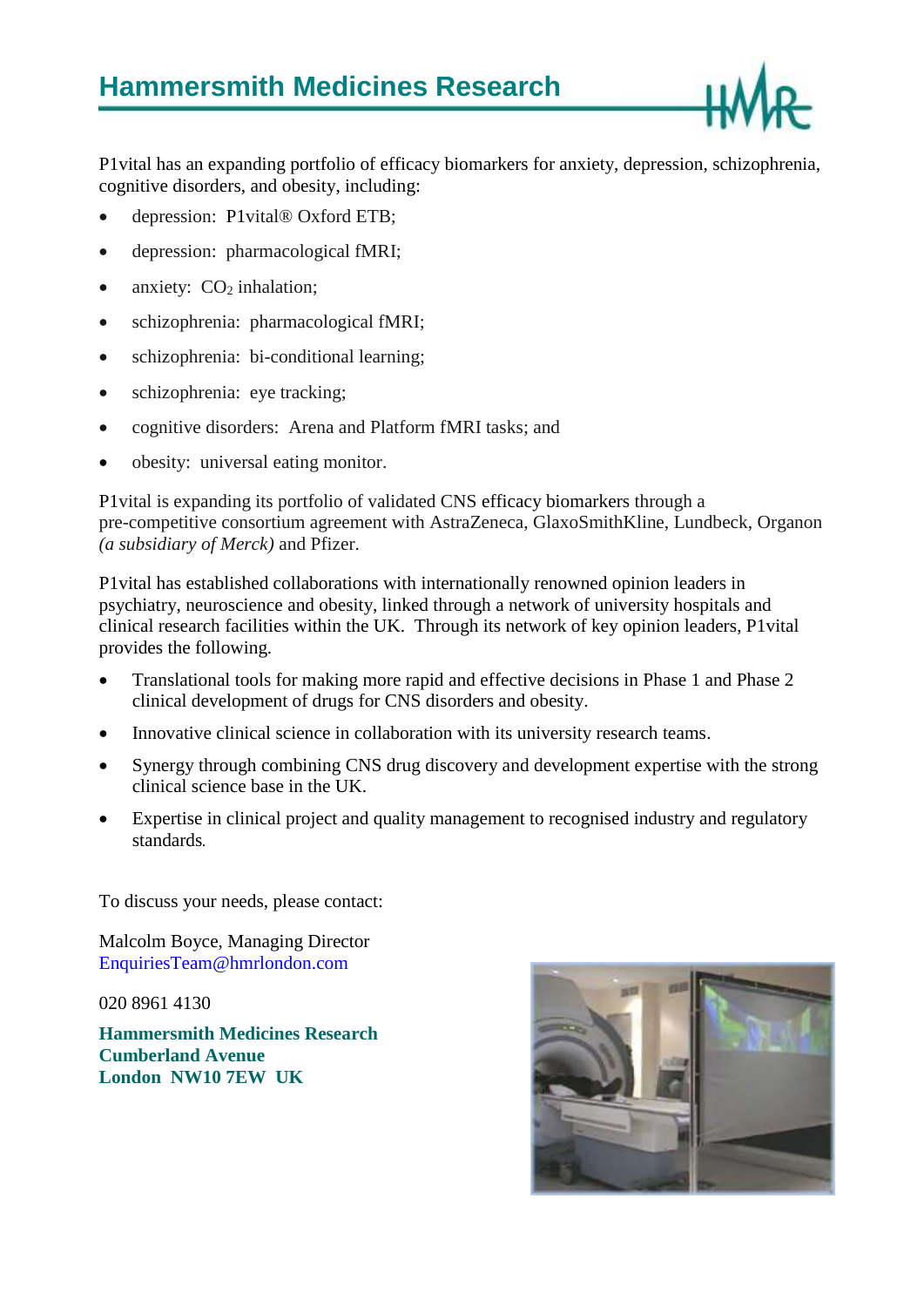

P1vital has an expanding portfolio of efficacy biomarkers for anxiety, depression, schizophrenia, cognitive disorders, and obesity, including:

- depression: P1vital<sup>®</sup> Oxford ETB;
- depression: pharmacological fMRI;
- anxiety:  $CO<sub>2</sub>$  inhalation;
- schizophrenia: pharmacological fMRI;
- schizophrenia: bi-conditional learning;
- schizophrenia: eye tracking;
- cognitive disorders: Arena and Platform fMRI tasks; and
- obesity: universal eating monitor.

P1vital is expanding its portfolio of validated CNS efficacy biomarkers through a pre-competitive consortium agreement with AstraZeneca, GlaxoSmithKline, Lundbeck, Organon *(a subsidiary of Merck)* and Pfizer.

P1vital has established collaborations with internationally renowned opinion leaders in psychiatry, neuroscience and obesity, linked through a network of university hospitals and clinical research facilities within the UK. Through its network of key opinion leaders, P1vital provides the following.

- Translational tools for making more rapid and effective decisions in Phase 1 and Phase 2 clinical development of drugs for CNS disorders and obesity.
- Innovative clinical science in collaboration with its university research teams.
- Synergy through combining CNS drug discovery and development expertise with the strong clinical science base in the UK.
- Expertise in clinical project and quality management to recognised industry and regulatory standards*.*

To discuss your needs, please contact:

Malcolm Boyce, Managing Director EnquiriesTeam@hmrlondon.com

020 8961 4130

**Hammersmith Medicines Research Cumberland Avenue London NW10 7EW UK**